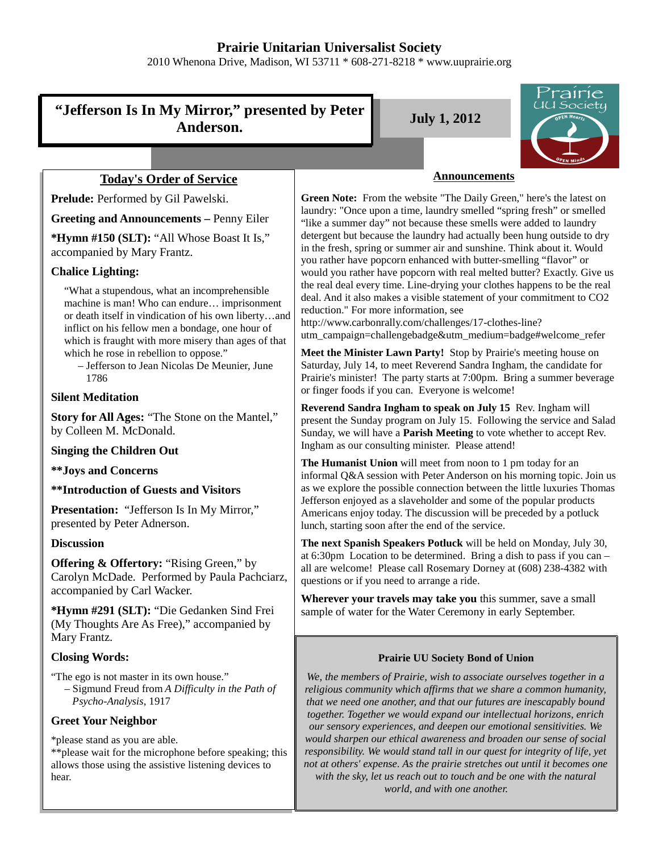# **Prairie Unitarian Universalist Society**

2010 Whenona Drive, Madison, WI 53711 \* 608-271-8218 \* www.uuprairie.org

# **"Jefferson Is In My Mirror," presented by Peter Anderson. July 1, 2012**



# **Today's Order of Service**

**Prelude:** Performed by Gil Pawelski.

#### **Greeting and Announcements –** Penny Eiler

**\*Hymn #150 (SLT):** "All Whose Boast It Is," accompanied by Mary Frantz.

# **Chalice Lighting:**

"What a stupendous, what an incomprehensible machine is man! Who can endure… imprisonment or death itself in vindication of his own liberty…and inflict on his fellow men a bondage, one hour of which is fraught with more misery than ages of that which he rose in rebellion to oppose."

– Jefferson to Jean Nicolas De Meunier, June 1786

# **Silent Meditation**

**Story for All Ages:** "The Stone on the Mantel," by Colleen M. McDonald.

#### **Singing the Children Out**

**\*\*Joys and Concerns**

**\*\*Introduction of Guests and Visitors**

Presentation: "Jefferson Is In My Mirror," presented by Peter Adnerson.

# **Discussion**

**Offering & Offertory:** "Rising Green," by Carolyn McDade. Performed by Paula Pachciarz, accompanied by Carl Wacker.

**\*Hymn #291 (SLT):** "Die Gedanken Sind Frei (My Thoughts Are As Free)," accompanied by Mary Frantz.

# **Closing Words:**

"The ego is not master in its own house." – Sigmund Freud from *A Difficulty in the Path of Psycho-Analysis*, 1917

# **Greet Your Neighbor**

\*please stand as you are able.

\*\*please wait for the microphone before speaking; this allows those using the assistive listening devices to hear.

#### **Announcements**

**Green Note:** From the website "The Daily Green," here's the latest on laundry: "Once upon a time, laundry smelled "spring fresh" or smelled "like a summer day" not because these smells were added to laundry detergent but because the laundry had actually been hung outside to dry in the fresh, spring or summer air and sunshine. Think about it. Would you rather have popcorn enhanced with butter-smelling "flavor" or would you rather have popcorn with real melted butter? Exactly. Give us the real deal every time. Line-drying your clothes happens to be the real deal. And it also makes a visible statement of your commitment to CO2 reduction." For more information, see

http://www.carbonrally.com/challenges/17-clothes-line? utm\_campaign=challengebadge&utm\_medium=badge#welcome\_refer

**Meet the Minister Lawn Party!** Stop by Prairie's meeting house on Saturday, July 14, to meet Reverend Sandra Ingham, the candidate for Prairie's minister! The party starts at 7:00pm. Bring a summer beverage or finger foods if you can. Everyone is welcome!

**Reverend Sandra Ingham to speak on July 15** Rev. Ingham will present the Sunday program on July 15. Following the service and Salad Sunday, we will have a **Parish Meeting** to vote whether to accept Rev. Ingham as our consulting minister. Please attend!

**The Humanist Union** will meet from noon to 1 pm today for an informal Q&A session with Peter Anderson on his morning topic. Join us as we explore the possible connection between the little luxuries Thomas Jefferson enjoyed as a slaveholder and some of the popular products Americans enjoy today. The discussion will be preceded by a potluck lunch, starting soon after the end of the service.

**The next Spanish Speakers Potluck** will be held on Monday, July 30, at 6:30pm Location to be determined. Bring a dish to pass if you can – all are welcome! Please call Rosemary Dorney at (608) 238-4382 with questions or if you need to arrange a ride.

**Wherever your travels may take you** this summer, save a small sample of water for the Water Ceremony in early September.

# **Prairie UU Society Bond of Union**

*We, the members of Prairie, wish to associate ourselves together in a religious community which affirms that we share a common humanity, that we need one another, and that our futures are inescapably bound together. Together we would expand our intellectual horizons, enrich our sensory experiences, and deepen our emotional sensitivities. We would sharpen our ethical awareness and broaden our sense of social responsibility. We would stand tall in our quest for integrity of life, yet not at others' expense. As the prairie stretches out until it becomes one with the sky, let us reach out to touch and be one with the natural*

*world, and with one another.*